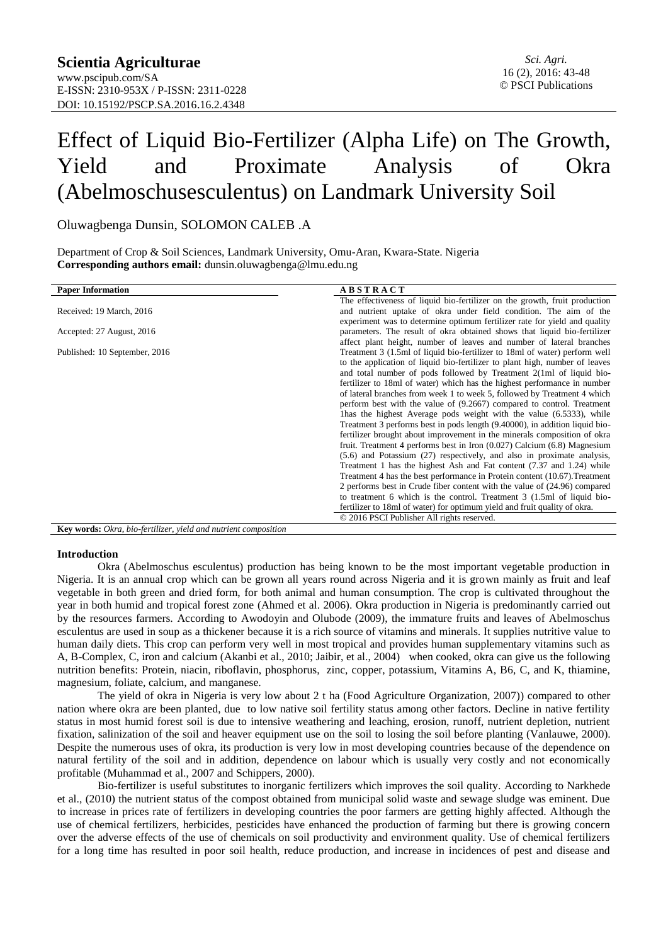# Effect of Liquid Bio-Fertilizer (Alpha Life) on The Growth, Yield and Proximate Analysis of Okra (Abelmoschusesculentus) on Landmark University Soil

Oluwagbenga Dunsin, SOLOMON CALEB .A

Department of Crop & Soil Sciences, Landmark University, Omu-Aran, Kwara-State. Nigeria **Corresponding authors email:** [dunsin.oluwagbenga@lmu.edu.ng](mailto:dunsin.oluwagbenga@lmu.edu.ng)

| <b>Paper Information</b>                                                                                 | <b>ABSTRACT</b>                                                              |
|----------------------------------------------------------------------------------------------------------|------------------------------------------------------------------------------|
|                                                                                                          | The effectiveness of liquid bio-fertilizer on the growth, fruit production   |
| Received: 19 March, 2016                                                                                 | and nutrient uptake of okra under field condition. The aim of the            |
|                                                                                                          | experiment was to determine optimum fertilizer rate for yield and quality    |
| Accepted: 27 August, 2016                                                                                | parameters. The result of okra obtained shows that liquid bio-fertilizer     |
|                                                                                                          | affect plant height, number of leaves and number of lateral branches         |
| Published: 10 September, 2016                                                                            | Treatment 3 (1.5ml of liquid bio-fertilizer to 18ml of water) perform well   |
|                                                                                                          | to the application of liquid bio-fertilizer to plant high, number of leaves  |
|                                                                                                          | and total number of pods followed by Treatment 2(1ml of liquid bio-          |
|                                                                                                          | fertilizer to 18ml of water) which has the highest performance in number     |
|                                                                                                          | of lateral branches from week 1 to week 5, followed by Treatment 4 which     |
|                                                                                                          | perform best with the value of (9.2667) compared to control. Treatment       |
|                                                                                                          | Thas the highest Average pods weight with the value (6.5333), while          |
|                                                                                                          | Treatment 3 performs best in pods length (9.40000), in addition liquid bio-  |
|                                                                                                          | fertilizer brought about improvement in the minerals composition of okra     |
|                                                                                                          | fruit. Treatment 4 performs best in Iron $(0.027)$ Calcium $(6.8)$ Magnesium |
|                                                                                                          | $(5.6)$ and Potassium $(27)$ respectively, and also in proximate analysis,   |
|                                                                                                          | Treatment 1 has the highest Ash and Fat content (7.37 and 1.24) while        |
|                                                                                                          | Treatment 4 has the best performance in Protein content (10.67). Treatment   |
|                                                                                                          | 2 performs best in Crude fiber content with the value of (24.96) compared    |
|                                                                                                          | to treatment 6 which is the control. Treatment 3 (1.5ml of liquid bio-       |
|                                                                                                          | fertilizer to 18ml of water) for optimum yield and fruit quality of okra.    |
|                                                                                                          | © 2016 PSCI Publisher All rights reserved.                                   |
| $T^{\mu}$ .<br>$\mathbf{1}$ of $\mathbf{1}$ can $\mathbf{1}$ if $\mathbf{1}$ if $\mathbf{1}$<br>$\cdots$ |                                                                              |

**Key words:** *Okra, bio-fertilizer, yield and nutrient composition*

## **Introduction**

Okra (Abelmoschus esculentus) production has being known to be the most important vegetable production in Nigeria. It is an annual crop which can be grown all years round across Nigeria and it is grown mainly as fruit and leaf vegetable in both green and dried form, for both animal and human consumption. The crop is cultivated throughout the year in both humid and tropical forest zone (Ahmed et al. 2006). Okra production in Nigeria is predominantly carried out by the resources farmers. According to Awodoyin and Olubode (2009), the immature fruits and leaves of Abelmoschus esculentus are used in soup as a thickener because it is a rich source of vitamins and minerals. It supplies nutritive value to human daily diets. This crop can perform very well in most tropical and provides human supplementary vitamins such as A, B-Complex, C, iron and calcium (Akanbi et al., 2010; Jaibir, et al., 2004) when cooked, okra can give us the following nutrition benefits: Protein, niacin, riboflavin, phosphorus, zinc, copper, potassium, Vitamins A, B6, C, and K, thiamine, magnesium, foliate, calcium, and manganese.

The yield of okra in Nigeria is very low about 2 t ha (Food Agriculture Organization, 2007)) compared to other nation where okra are been planted, due to low native soil fertility status among other factors. Decline in native fertility status in most humid forest soil is due to intensive weathering and leaching, erosion, runoff, nutrient depletion, nutrient fixation, salinization of the soil and heaver equipment use on the soil to losing the soil before planting (Vanlauwe, 2000). Despite the numerous uses of okra, its production is very low in most developing countries because of the dependence on natural fertility of the soil and in addition, dependence on labour which is usually very costly and not economically profitable (Muhammad et al., 2007 and Schippers, 2000).

Bio-fertilizer is useful substitutes to inorganic fertilizers which improves the soil quality. According to Narkhede et al., (2010) the nutrient status of the compost obtained from municipal solid waste and sewage sludge was eminent. Due to increase in prices rate of fertilizers in developing countries the poor farmers are getting highly affected. Although the use of chemical fertilizers, herbicides, pesticides have enhanced the production of farming but there is growing concern over the adverse effects of the use of chemicals on soil productivity and environment quality. Use of chemical fertilizers for a long time has resulted in poor soil health, reduce production, and increase in incidences of pest and disease and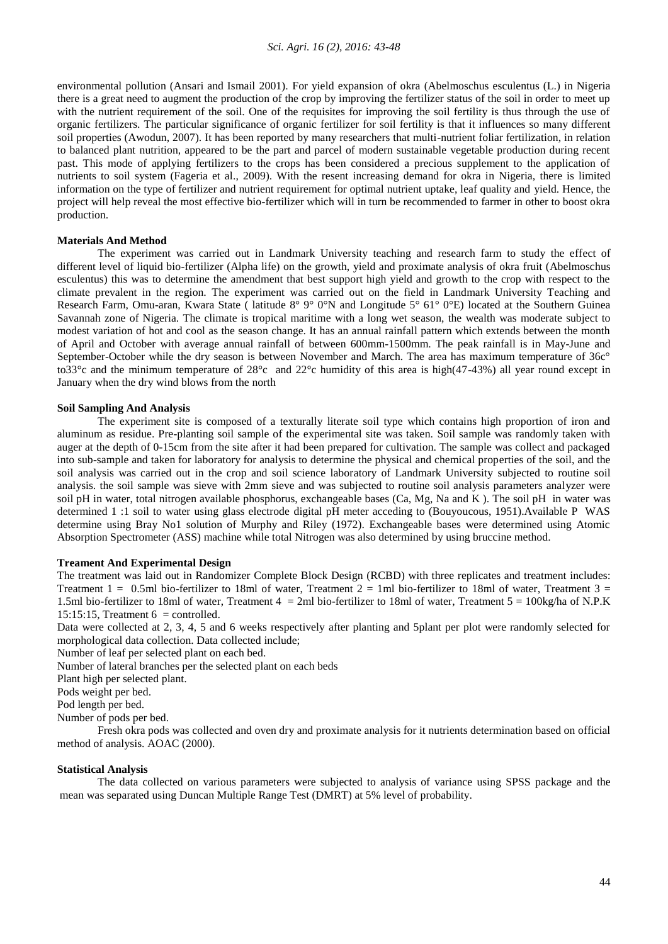environmental pollution (Ansari and Ismail 2001). For yield expansion of okra (Abelmoschus esculentus (L.) in Nigeria there is a great need to augment the production of the crop by improving the fertilizer status of the soil in order to meet up with the nutrient requirement of the soil. One of the requisites for improving the soil fertility is thus through the use of organic fertilizers. The particular significance of organic fertilizer for soil fertility is that it influences so many different soil properties (Awodun, 2007). It has been reported by many researchers that multi-nutrient foliar fertilization, in relation to balanced plant nutrition, appeared to be the part and parcel of modern sustainable vegetable production during recent past. This mode of applying fertilizers to the crops has been considered a precious supplement to the application of nutrients to soil system (Fageria et al., 2009). With the resent increasing demand for okra in Nigeria, there is limited information on the type of fertilizer and nutrient requirement for optimal nutrient uptake, leaf quality and yield. Hence, the project will help reveal the most effective bio-fertilizer which will in turn be recommended to farmer in other to boost okra production.

# **Materials And Method**

The experiment was carried out in Landmark University teaching and research farm to study the effect of different level of liquid bio-fertilizer (Alpha life) on the growth, yield and proximate analysis of okra fruit (Abelmoschus esculentus) this was to determine the amendment that best support high yield and growth to the crop with respect to the climate prevalent in the region. The experiment was carried out on the field in Landmark University Teaching and Research Farm, Omu-aran, Kwara State ( latitude 8° 9° 0°N and Longitude 5° 61° 0°E) located at the Southern Guinea Savannah zone of Nigeria. The climate is tropical maritime with a long wet season, the wealth was moderate subject to modest variation of hot and cool as the season change. It has an annual rainfall pattern which extends between the month of April and October with average annual rainfall of between 600mm-1500mm. The peak rainfall is in May-June and September-October while the dry season is between November and March. The area has maximum temperature of 36c° to33°c and the minimum temperature of 28°c and 22°c humidity of this area is high(47-43%) all year round except in January when the dry wind blows from the north

#### **Soil Sampling And Analysis**

The experiment site is composed of a texturally literate soil type which contains high proportion of iron and aluminum as residue. Pre-planting soil sample of the experimental site was taken. Soil sample was randomly taken with auger at the depth of 0-15cm from the site after it had been prepared for cultivation. The sample was collect and packaged into sub-sample and taken for laboratory for analysis to determine the physical and chemical properties of the soil, and the soil analysis was carried out in the crop and soil science laboratory of Landmark University subjected to routine soil analysis. the soil sample was sieve with 2mm sieve and was subjected to routine soil analysis parameters analyzer were soil pH in water, total nitrogen available phosphorus, exchangeable bases (Ca, Mg, Na and K). The soil pH in water was determined 1 :1 soil to water using glass electrode digital pH meter acceding to (Bouyoucous, 1951).Available P WAS determine using Bray No1 solution of Murphy and Riley (1972). Exchangeable bases were determined using Atomic Absorption Spectrometer (ASS) machine while total Nitrogen was also determined by using bruccine method.

#### **Treament And Experimental Design**

The treatment was laid out in Randomizer Complete Block Design (RCBD) with three replicates and treatment includes: Treatment  $1 = 0.5$ ml bio-fertilizer to 18ml of water, Treatment  $2 = 1$ ml bio-fertilizer to 18ml of water, Treatment  $3 = 1$ 1.5ml bio-fertilizer to 18ml of water, Treatment  $4 = 2$ ml bio-fertilizer to 18ml of water, Treatment  $5 = 100$ kg/ha of N.P.K 15:15:15, Treatment  $6 =$  controlled.

Data were collected at 2, 3, 4, 5 and 6 weeks respectively after planting and 5plant per plot were randomly selected for morphological data collection. Data collected include;

Number of leaf per selected plant on each bed.

Number of lateral branches per the selected plant on each beds

Plant high per selected plant.

Pods weight per bed.

Pod length per bed.

Number of pods per bed.

Fresh okra pods was collected and oven dry and proximate analysis for it nutrients determination based on official method of analysis. AOAC (2000).

#### **Statistical Analysis**

The data collected on various parameters were subjected to analysis of variance using SPSS package and the mean was separated using Duncan Multiple Range Test (DMRT) at 5% level of probability.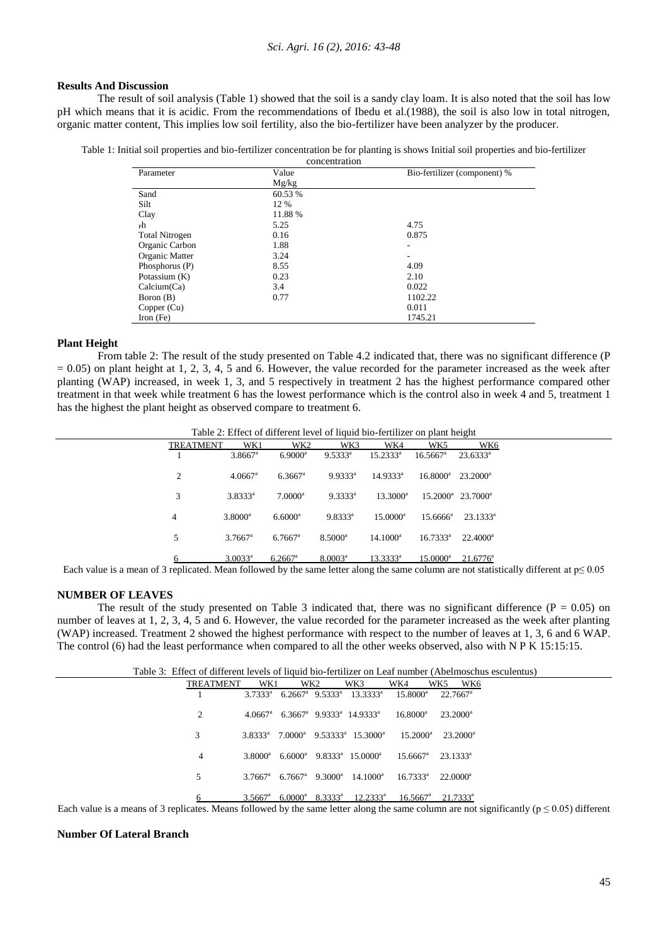## **Results And Discussion**

The result of soil analysis (Table 1) showed that the soil is a sandy clay loam. It is also noted that the soil has low pH which means that it is acidic. From the recommendations of Ibedu et al.(1988), the soil is also low in total nitrogen, organic matter content, This implies low soil fertility, also the bio-fertilizer have been analyzer by the producer.

Table 1: Initial soil properties and bio-fertilizer concentration be for planting is shows Initial soil properties and bio-fertilizer

| concentration         |         |                              |  |  |  |  |  |
|-----------------------|---------|------------------------------|--|--|--|--|--|
| Parameter             | Value   | Bio-fertilizer (component) % |  |  |  |  |  |
|                       | Mg/kg   |                              |  |  |  |  |  |
| Sand                  | 60.53 % |                              |  |  |  |  |  |
| Silt                  | 12 %    |                              |  |  |  |  |  |
| Clay                  | 11.88%  |                              |  |  |  |  |  |
| ph                    | 5.25    | 4.75                         |  |  |  |  |  |
| <b>Total Nitrogen</b> | 0.16    | 0.875                        |  |  |  |  |  |
| Organic Carbon        | 1.88    |                              |  |  |  |  |  |
| Organic Matter        | 3.24    |                              |  |  |  |  |  |
| Phosphorus (P)        | 8.55    | 4.09                         |  |  |  |  |  |
| Potassium $(K)$       | 0.23    | 2.10                         |  |  |  |  |  |
| Calcium(Ca)           | 3.4     | 0.022                        |  |  |  |  |  |
| Boron (B)             | 0.77    | 1102.22                      |  |  |  |  |  |
| Copper (Cu)           |         | 0.011                        |  |  |  |  |  |
| Iron $(Fe)$           |         | 1745.21                      |  |  |  |  |  |

# **Plant Height**

From table 2: The result of the study presented on Table 4.2 indicated that, there was no significant difference (P  $= 0.05$ ) on plant height at 1, 2, 3, 4, 5 and 6. However, the value recorded for the parameter increased as the week after planting (WAP) increased, in week 1, 3, and 5 respectively in treatment 2 has the highest performance compared other treatment in that week while treatment 6 has the lowest performance which is the control also in week 4 and 5, treatment 1 has the highest the plant height as observed compare to treatment 6.

Table 2: Effect of different level of liquid bio-fertilizer on plant height

| TREATMENT | WK1                   | WK <sub>2</sub>       | WK3              | WK4         | WK5               | WK6                              |
|-----------|-----------------------|-----------------------|------------------|-------------|-------------------|----------------------------------|
|           | $3.8667$ <sup>a</sup> | $6.9000^{\rm a}$      | $9.5333^a$       | $15.2333^a$ | $16.5667^{\circ}$ | $23.6333^a$                      |
| 2         | $4.0667$ <sup>a</sup> | $6.3667$ <sup>a</sup> | $9.9333^a$       | $14.9333^a$ | $16.8000^a$       | $23.2000^a$                      |
| 3         | $3.8333^a$            | $7.0000$ <sup>a</sup> | $9.3333^a$       | $13.3000^a$ |                   | $15.2000^a$ 23.7000 <sup>a</sup> |
| 4         | $3.8000^a$            | $6.6000^{\rm a}$      | $9.8333^a$       | $15.0000^a$ | $15.6666^{\circ}$ | $23.1333^a$                      |
| 5         | $3.7667$ <sup>a</sup> | $6.7667$ <sup>a</sup> | $8.5000^{\rm a}$ | $14.1000^a$ | $16.7333^a$       | $22.4000^a$                      |
|           | $3.0033^a$            | $6.2667$ <sup>a</sup> | $8.0003^{\circ}$ | $13.3333^a$ | $15.0000^{\rm a}$ | $21.6776^{\circ}$                |

Each value is a mean of 3 replicated. Mean followed by the same letter along the same column are not statistically different at p≤ 0.05

# **NUMBER OF LEAVES**

The result of the study presented on Table 3 indicated that, there was no significant difference ( $P = 0.05$ ) on number of leaves at 1, 2, 3, 4, 5 and 6. However, the value recorded for the parameter increased as the week after planting (WAP) increased. Treatment 2 showed the highest performance with respect to the number of leaves at 1, 3, 6 and 6 WAP. The control (6) had the least performance when compared to all the other weeks observed, also with N P K 15:15:15.

| <b>TREATMENT</b> | WK1                 | WK2 | WK3                                                                           | WK4                                                                                                                        | WK5<br>WK6           |
|------------------|---------------------|-----|-------------------------------------------------------------------------------|----------------------------------------------------------------------------------------------------------------------------|----------------------|
|                  |                     |     |                                                                               | $3.7333^a$ 6.2667 <sup>a</sup> 9.5333 <sup>a</sup> 13.3333 <sup>a</sup> 15.8000 <sup>a</sup>                               | 22.7667 <sup>a</sup> |
| 2                |                     |     | $4.0667^{\circ}$ 6.3667 <sup>ª</sup> 9.9333 <sup>ª</sup> 14.9333 <sup>ª</sup> | $16.8000^{\rm a}$                                                                                                          | $23.2000^a$          |
| 3                |                     |     |                                                                               | $3.8333^a$ $7.0000^a$ $9.53333^a$ $15.3000^a$ $15.2000^a$                                                                  | $23.2000^a$          |
| $\overline{4}$   | 3.8000 <sup>a</sup> |     | $6.6000^a$ 9.8333 <sup>a</sup> 15.0000 <sup>a</sup>                           | 15.6667 <sup>a</sup> 23.1333 <sup>a</sup>                                                                                  |                      |
| 5                |                     |     |                                                                               | $3.7667^{\circ}$ $6.7667^{\circ}$ $9.3000^{\circ}$ $14.1000^{\circ}$ $16.7333^{\circ}$ $22.0000^{\circ}$                   |                      |
| 6                |                     |     |                                                                               | $3.5667^{\text{a}}$ $6.0000^{\text{a}}$ $8.3333^{\text{a}}$ $12.2333^{\text{a}}$ $16.5667^{\text{a}}$ $21.7333^{\text{a}}$ |                      |

Each value is a means of 3 replicates. Means followed by the same letter along the same column are not significantly ( $p \le 0.05$ ) different

# **Number Of Lateral Branch**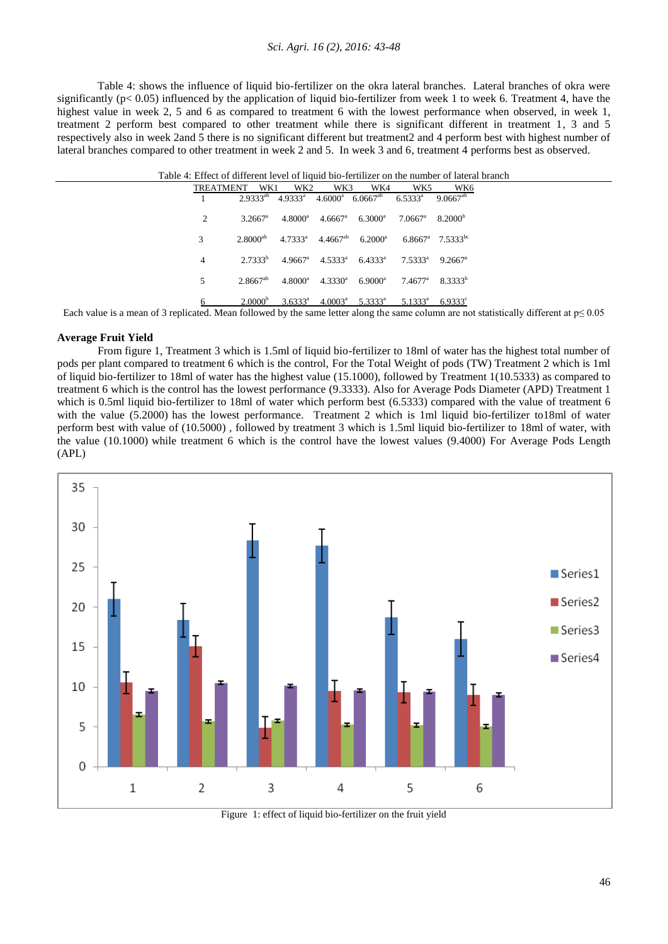## *Sci. Agri. 16 (2), 2016: 43-48*

Table 4: shows the influence of liquid bio-fertilizer on the okra lateral branches. Lateral branches of okra were significantly ( $p < 0.05$ ) influenced by the application of liquid bio-fertilizer from week 1 to week 6. Treatment 4, have the highest value in week 2, 5 and 6 as compared to treatment 6 with the lowest performance when observed, in week 1, treatment 2 perform best compared to other treatment while there is significant different in treatment 1, 3 and 5 respectively also in week 2and 5 there is no significant different but treatment2 and 4 perform best with highest number of lateral branches compared to other treatment in week 2 and 5. In week 3 and 6, treatment 4 performs best as observed.

| TREATMENT      | WK1 |  | WK2 WK3 WK4                                                                                                             | WK5 | WK6                                                                                                                                                                                                                                                                                                                                                                                                                                                                                                                                                                     |
|----------------|-----|--|-------------------------------------------------------------------------------------------------------------------------|-----|-------------------------------------------------------------------------------------------------------------------------------------------------------------------------------------------------------------------------------------------------------------------------------------------------------------------------------------------------------------------------------------------------------------------------------------------------------------------------------------------------------------------------------------------------------------------------|
|                |     |  | $2.9333^{ab}$ $4.9333^{a}$ $4.6000^{a}$ $6.0667^{ab}$ $6.5333^{a}$ $9.0667^{ab}$                                        |     |                                                                                                                                                                                                                                                                                                                                                                                                                                                                                                                                                                         |
| 2              |     |  | $3.2667^{\text{a}}$ $4.8000^{\text{a}}$ $4.6667^{\text{a}}$ $6.3000^{\text{a}}$ $7.0667^{\text{a}}$ $8.2000^{\text{b}}$ |     |                                                                                                                                                                                                                                                                                                                                                                                                                                                                                                                                                                         |
| 3              |     |  | $2.8000^{ab}$ $4.7333^a$ $4.4667^{ab}$ $6.2000^a$ $6.8667^a$ $7.5333^{bc}$                                              |     |                                                                                                                                                                                                                                                                                                                                                                                                                                                                                                                                                                         |
| $\overline{4}$ |     |  | $2.7333^b$ $4.9667^a$ $4.5333^a$ $6.4333^a$ $7.5333^a$ $9.2667^a$                                                       |     |                                                                                                                                                                                                                                                                                                                                                                                                                                                                                                                                                                         |
| $5^{\circ}$    |     |  | $2.8667^{ab}$ $4.8000^a$ $4.3330^a$ $6.9000^a$ $7.4677^a$ $8.3333^b$                                                    |     |                                                                                                                                                                                                                                                                                                                                                                                                                                                                                                                                                                         |
|                |     |  | $2.0000^{\circ}$ $3.6333^{\circ}$ $4.0003^{\circ}$ $5.3333^{\circ}$ $5.1333^{\circ}$ $6.9333^{\circ}$                   |     | $\mathcal{C} \bullet \mathcal{C} \bullet \mathcal{C} \bullet \mathcal{C} \bullet \mathcal{C} \bullet \mathcal{C} \bullet \mathcal{C} \bullet \mathcal{C} \bullet \mathcal{C} \bullet \mathcal{C} \bullet \mathcal{C} \bullet \mathcal{C} \bullet \mathcal{C} \bullet \mathcal{C} \bullet \mathcal{C} \bullet \mathcal{C} \bullet \mathcal{C} \bullet \mathcal{C} \bullet \mathcal{C} \bullet \mathcal{C} \bullet \mathcal{C} \bullet \mathcal{C} \bullet \mathcal{C} \bullet \mathcal{C} \bullet \mathcal{C} \bullet \mathcal{C} \bullet \mathcal{C} \bullet \mathcal{$ |

Each value is a mean of 3 replicated. Mean followed by the same letter along the same column are not statistically different at p≤ 0.05

# **Average Fruit Yield**

From figure 1, Treatment 3 which is 1.5ml of liquid bio-fertilizer to 18ml of water has the highest total number of pods per plant compared to treatment 6 which is the control, For the Total Weight of pods (TW) Treatment 2 which is 1ml of liquid bio-fertilizer to 18ml of water has the highest value (15.1000), followed by Treatment 1(10.5333) as compared to treatment 6 which is the control has the lowest performance (9.3333). Also for Average Pods Diameter (APD) Treatment 1 which is 0.5ml liquid bio-fertilizer to 18ml of water which perform best (6.5333) compared with the value of treatment 6 with the value (5.2000) has the lowest performance. Treatment 2 which is 1ml liquid bio-fertilizer to18ml of water perform best with value of (10.5000) , followed by treatment 3 which is 1.5ml liquid bio-fertilizer to 18ml of water, with the value (10.1000) while treatment 6 which is the control have the lowest values (9.4000) For Average Pods Length (APL)



Figure 1: effect of liquid bio-fertilizer on the fruit yield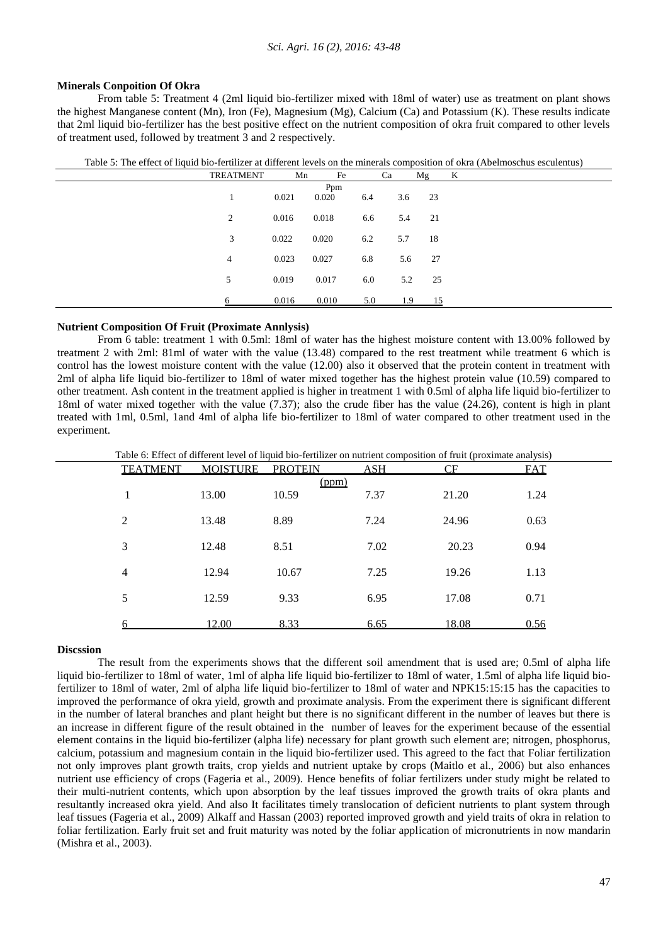# **Minerals Conpoition Of Okra**

From table 5: Treatment 4 (2ml liquid bio-fertilizer mixed with 18ml of water) use as treatment on plant shows the highest Manganese content (Mn), Iron (Fe), Magnesium (Mg), Calcium (Ca) and Potassium (K). These results indicate that 2ml liquid bio-fertilizer has the best positive effect on the nutrient composition of okra fruit compared to other levels of treatment used, followed by treatment 3 and 2 respectively.

| Table 5: The effect of liquid bio-fertilizer at different levels on the minerals composition of okra (Abelmoschus esculentus) |  |  |
|-------------------------------------------------------------------------------------------------------------------------------|--|--|
|                                                                                                                               |  |  |

| <b>TREATMENT</b> | Mn    | Fe           |     | Ca  | Mg K |  |
|------------------|-------|--------------|-----|-----|------|--|
|                  | 0.021 | Ppm<br>0.020 | 6.4 | 3.6 | 23   |  |
| $\overline{2}$   | 0.016 | 0.018        | 6.6 | 5.4 | 21   |  |
| 3                | 0.022 | 0.020        | 6.2 | 5.7 | 18   |  |
| 4                | 0.023 | 0.027        | 6.8 | 5.6 | 27   |  |
| 5                | 0.019 | 0.017        | 6.0 | 5.2 | 25   |  |
| h                | 0.016 | 0.010        | 5.0 | 1.9 | 15   |  |

# **Nutrient Composition Of Fruit (Proximate Annlysis)**

From 6 table: treatment 1 with 0.5ml: 18ml of water has the highest moisture content with 13.00% followed by treatment 2 with 2ml: 81ml of water with the value (13.48) compared to the rest treatment while treatment 6 which is control has the lowest moisture content with the value (12.00) also it observed that the protein content in treatment with 2ml of alpha life liquid bio-fertilizer to 18ml of water mixed together has the highest protein value (10.59) compared to other treatment. Ash content in the treatment applied is higher in treatment 1 with 0.5ml of alpha life liquid bio-fertilizer to 18ml of water mixed together with the value (7.37); also the crude fiber has the value (24.26), content is high in plant treated with 1ml, 0.5ml, 1and 4ml of alpha life bio-fertilizer to 18ml of water compared to other treatment used in the experiment.

Table 6: Effect of different level of liquid bio-fertilizer on nutrient composition of fruit (proximate analysis)

| <b>TEATMENT</b> | <b>MOISTURE</b> | <b>PROTEIN</b> | <b>ASH</b> | CF    | <b>FAT</b> |
|-----------------|-----------------|----------------|------------|-------|------------|
|                 |                 | (ppm)          |            |       |            |
|                 | 13.00           | 10.59          | 7.37       | 21.20 | 1.24       |
| 2               | 13.48           | 8.89           | 7.24       | 24.96 | 0.63       |
| 3               | 12.48           | 8.51           | 7.02       | 20.23 | 0.94       |
| $\overline{4}$  | 12.94           | 10.67          | 7.25       | 19.26 | 1.13       |
| 5               | 12.59           | 9.33           | 6.95       | 17.08 | 0.71       |
|                 | 12.00           | 8.33           | 6.65       | 18.08 | 0.56       |

## **Discssion**

The result from the experiments shows that the different soil amendment that is used are; 0.5ml of alpha life liquid bio-fertilizer to 18ml of water, 1ml of alpha life liquid bio-fertilizer to 18ml of water, 1.5ml of alpha life liquid biofertilizer to 18ml of water, 2ml of alpha life liquid bio-fertilizer to 18ml of water and NPK15:15:15 has the capacities to improved the performance of okra yield, growth and proximate analysis. From the experiment there is significant different in the number of lateral branches and plant height but there is no significant different in the number of leaves but there is an increase in different figure of the result obtained in the number of leaves for the experiment because of the essential element contains in the liquid bio-fertilizer (alpha life) necessary for plant growth such element are; nitrogen, phosphorus, calcium, potassium and magnesium contain in the liquid bio-fertilizer used. This agreed to the fact that Foliar fertilization not only improves plant growth traits, crop yields and nutrient uptake by crops (Maitlo et al., 2006) but also enhances nutrient use efficiency of crops (Fageria et al., 2009). Hence benefits of foliar fertilizers under study might be related to their multi-nutrient contents, which upon absorption by the leaf tissues improved the growth traits of okra plants and resultantly increased okra yield. And also It facilitates timely translocation of deficient nutrients to plant system through leaf tissues (Fageria et al., 2009) Alkaff and Hassan (2003) reported improved growth and yield traits of okra in relation to foliar fertilization. Early fruit set and fruit maturity was noted by the foliar application of micronutrients in now mandarin (Mishra et al., 2003).